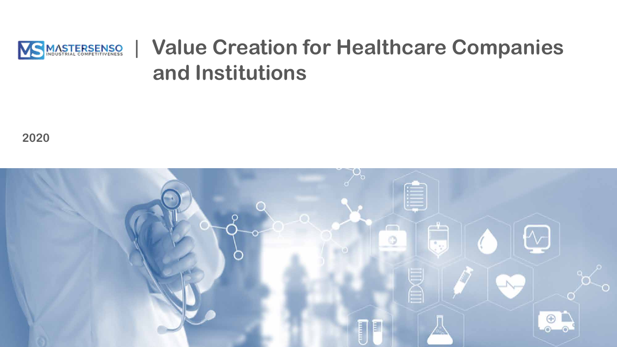

# | **Value Creation for Healthcare Companies and Institutions**

**2020**

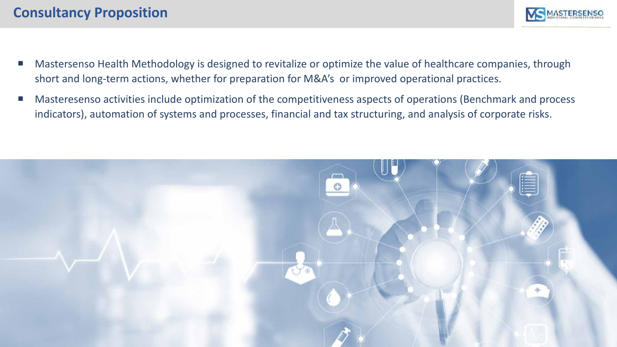- Mastersenso Health Methodology is designed to revitalize or optimize the value of healthcare companies, through short and long-term actions, whether for preparation for M&A's or improved operational practices.
- Masteresenso activities include optimization of the competitiveness aspects of operations (Benchmark and process indicators), automation of systems and processes, financial and tax structuring, and analysis of corporate risks.

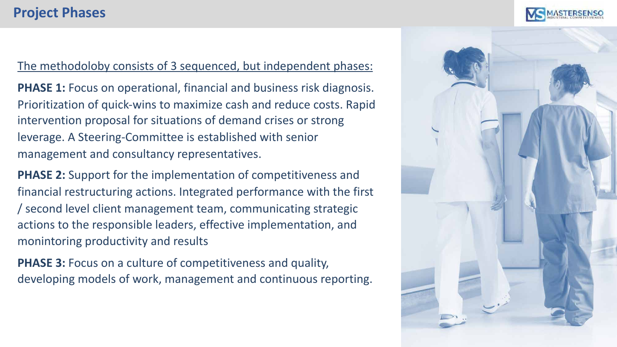## **Project Phases**



The methodoloby consists of 3 sequenced, but independent phases:

**PHASE 1:** Focus on operational, financial and business risk diagnosis. Prioritization of quick-wins to maximize cash and reduce costs. Rapid intervention proposal for situations of demand crises or strong leverage. A Steering-Committee is established with senior management and consultancy representatives.

**PHASE 2:** Support for the implementation of competitiveness and financial restructuring actions. Integrated performance with the first / second level client management team, communicating strategic actions to the responsible leaders, effective implementation, and monintoring productivity and results

**PHASE 3: Focus on a culture of competitiveness and quality,** developing models of work, management and continuous reporting.

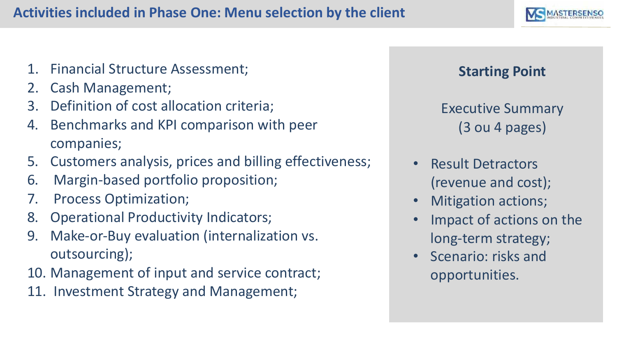## **Activities included in Phase One: Menu selection by the client**

- 1. Financial Structure Assessment;
- 2. Cash Management;
- 3. Definition of cost allocation criteria;
- 4. Benchmarks and KPI comparison with peer companies;
- 5. Customers analysis, prices and billing effectiveness;
- 6. Margin-based portfolio proposition;
- 7. Process Optimization;
- 8. Operational Productivity Indicators;
- 9. Make-or-Buy evaluation (internalization vs. outsourcing);
- 10. Management of input and service contract;
- 11. Investment Strategy and Management;

# **Starting Point**

Executive Summary (3 ou 4 pages)

- Result Detractors (revenue and cost);
- Mitigation actions;
- Impact of actions on the long-term strategy;
- Scenario: risks and opportunities.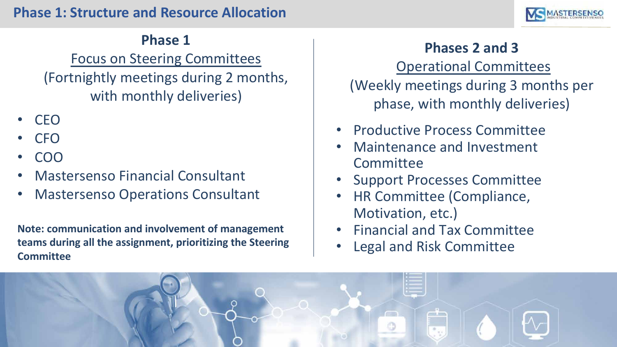

## **Phase 1**

Focus on Steering Committees (Fortnightly meetings during 2 months, with monthly deliveries)

- CEO
- CFO
- COO
- Mastersenso Financial Consultant
- Mastersenso Operations Consultant

**Note: communication and involvement of management teams during all the assignment, prioritizing the Steering Committee**

**Phases 2 and 3** Operational Committees (Weekly meetings during 3 months per phase, with monthly deliveries)

- Productive Process Committee
- Maintenance and Investment **Committee**
- Support Processes Committee
- HR Committee (Compliance, Motivation, etc.)
- Financial and Tax Committee
- Legal and Risk Committee

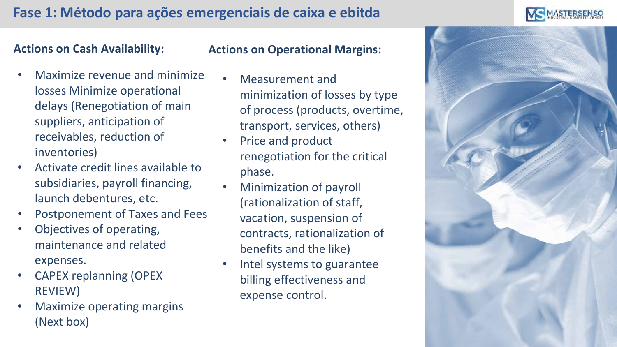

#### **Actions on Cash Availability:**

### • Maximize revenue and minimize losses Minimize operational delays (Renegotiation of main suppliers, anticipation of receivables, reduction of inventories)

- Activate credit lines available to subsidiaries, payroll financing, launch debentures, etc.
- Postponement of Taxes and Fees
- Objectives of operating, maintenance and related expenses.
- CAPEX replanning (OPEX REVIEW)
- Maximize operating margins (Next box)

#### **Actions on Operational Margins:**

- Measurement and minimization of losses by type of process (products, overtime, transport, services, others)
- Price and product renegotiation for the critical phase.
- Minimization of payroll (rationalization of staff, vacation, suspension of contracts, rationalization of benefits and the like)
- Intel systems to guarantee billing effectiveness and expense control.

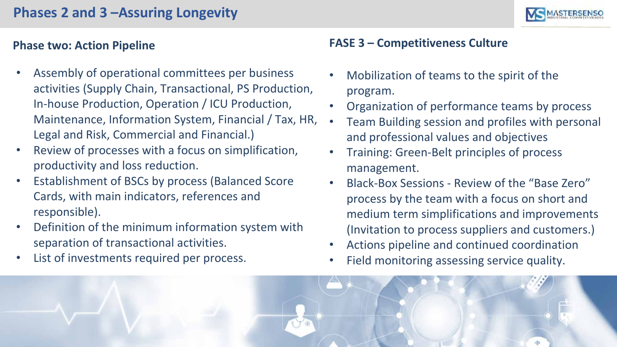## **Phases 2 and 3 –Assuring Longevity**



#### **Phase two: Action Pipeline**

- Assembly of operational committees per business activities (Supply Chain, Transactional, PS Production, In-house Production, Operation / ICU Production, Maintenance, Information System, Financial / Tax, HR, Legal and Risk, Commercial and Financial.)
- Review of processes with a focus on simplification, productivity and loss reduction.
- Establishment of BSCs by process (Balanced Score Cards, with main indicators, references and responsible).
- Definition of the minimum information system with separation of transactional activities.
- List of investments required per process.

#### **FASE 3 – Competitiveness Culture**

- Mobilization of teams to the spirit of the program.
- Organization of performance teams by process
- Team Building session and profiles with personal and professional values and objectives
- Training: Green-Belt principles of process management.
- Black-Box Sessions Review of the "Base Zero" process by the team with a focus on short and medium term simplifications and improvements (Invitation to process suppliers and customers.)
- Actions pipeline and continued coordination
- Field monitoring assessing service quality.